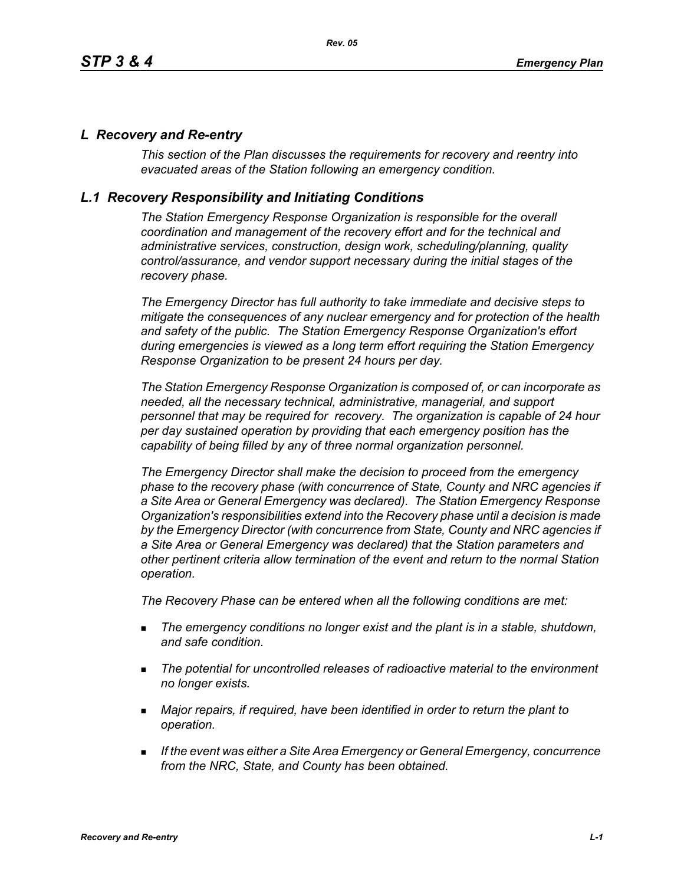### *L Recovery and Re-entry*

*This section of the Plan discusses the requirements for recovery and reentry into evacuated areas of the Station following an emergency condition.* 

### *L.1 Recovery Responsibility and Initiating Conditions*

*The Station Emergency Response Organization is responsible for the overall coordination and management of the recovery effort and for the technical and administrative services, construction, design work, scheduling/planning, quality control/assurance, and vendor support necessary during the initial stages of the recovery phase.*

*The Emergency Director has full authority to take immediate and decisive steps to mitigate the consequences of any nuclear emergency and for protection of the health and safety of the public. The Station Emergency Response Organization's effort during emergencies is viewed as a long term effort requiring the Station Emergency Response Organization to be present 24 hours per day.*

*The Station Emergency Response Organization is composed of, or can incorporate as needed, all the necessary technical, administrative, managerial, and support personnel that may be required for recovery. The organization is capable of 24 hour per day sustained operation by providing that each emergency position has the capability of being filled by any of three normal organization personnel.*

*The Emergency Director shall make the decision to proceed from the emergency phase to the recovery phase (with concurrence of State, County and NRC agencies if a Site Area or General Emergency was declared). The Station Emergency Response Organization's responsibilities extend into the Recovery phase until a decision is made by the Emergency Director (with concurrence from State, County and NRC agencies if a Site Area or General Emergency was declared) that the Station parameters and other pertinent criteria allow termination of the event and return to the normal Station operation.*

*The Recovery Phase can be entered when all the following conditions are met:*

- *The emergency conditions no longer exist and the plant is in a stable, shutdown, and safe condition.*
- *The potential for uncontrolled releases of radioactive material to the environment no longer exists.*
- *Major repairs, if required, have been identified in order to return the plant to operation.*
- *If the event was either a Site Area Emergency or General Emergency, concurrence from the NRC, State, and County has been obtained.*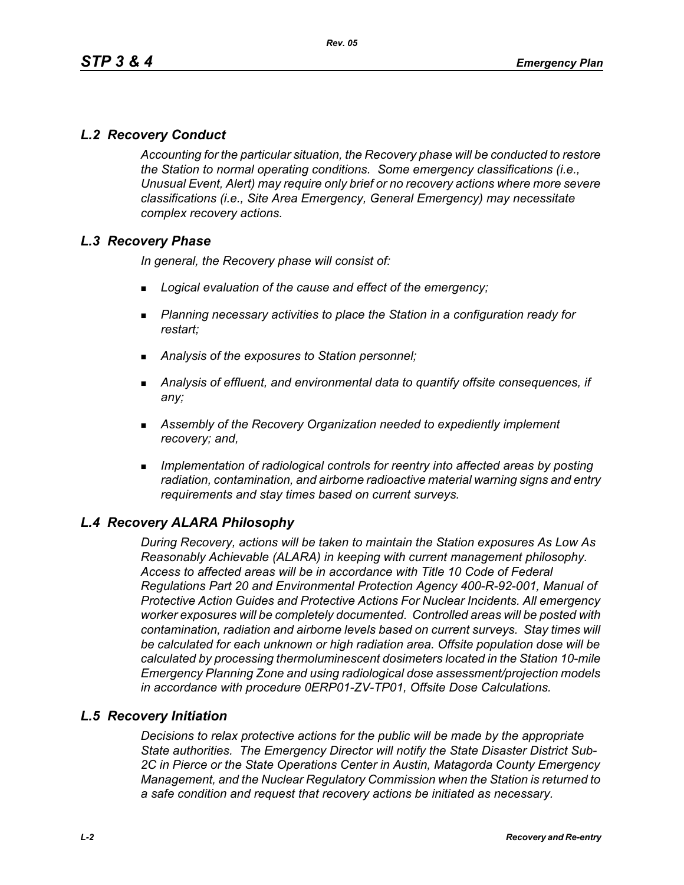# *L.2 Recovery Conduct*

*Accounting for the particular situation, the Recovery phase will be conducted to restore the Station to normal operating conditions. Some emergency classifications (i.e., Unusual Event, Alert) may require only brief or no recovery actions where more severe classifications (i.e., Site Area Emergency, General Emergency) may necessitate complex recovery actions.*

#### *L.3 Recovery Phase*

*In general, the Recovery phase will consist of:*

- *Logical evaluation of the cause and effect of the emergency;*
- *Planning necessary activities to place the Station in a configuration ready for restart;*
- *Analysis of the exposures to Station personnel;*
- *Analysis of effluent, and environmental data to quantify offsite consequences, if any;*
- *Assembly of the Recovery Organization needed to expediently implement recovery; and,*
- *Implementation of radiological controls for reentry into affected areas by posting radiation, contamination, and airborne radioactive material warning signs and entry requirements and stay times based on current surveys.*

# *L.4 Recovery ALARA Philosophy*

*During Recovery, actions will be taken to maintain the Station exposures As Low As Reasonably Achievable (ALARA) in keeping with current management philosophy. Access to affected areas will be in accordance with Title 10 Code of Federal Regulations Part 20 and Environmental Protection Agency 400-R-92-001, Manual of Protective Action Guides and Protective Actions For Nuclear Incidents. All emergency worker exposures will be completely documented. Controlled areas will be posted with contamination, radiation and airborne levels based on current surveys. Stay times will be calculated for each unknown or high radiation area. Offsite population dose will be calculated by processing thermoluminescent dosimeters located in the Station 10-mile Emergency Planning Zone and using radiological dose assessment/projection models in accordance with procedure 0ERP01-ZV-TP01, Offsite Dose Calculations.*

#### *L.5 Recovery Initiation*

*Decisions to relax protective actions for the public will be made by the appropriate State authorities. The Emergency Director will notify the State Disaster District Sub-2C in Pierce or the State Operations Center in Austin, Matagorda County Emergency Management, and the Nuclear Regulatory Commission when the Station is returned to a safe condition and request that recovery actions be initiated as necessary.*